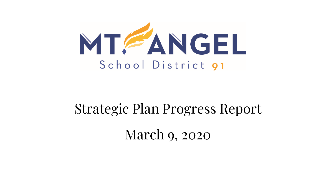

# Strategic Plan Progress Report March 9, 2020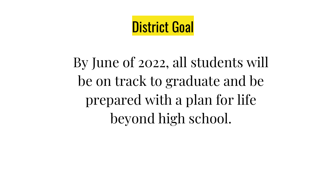## District Goal

By June of 2022, all students will be on track to graduate and be prepared with a plan for life beyond high school.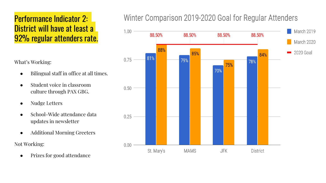### Performance Indicator 2: District will have at least a 92% regular attenders rate.

What's Working:

- Bilingual staff in office at all times.
- Student voice in classroom culture through PAX GBG.
- Nudge Letters
- School-Wide attendance data updates in newsletter
- Additional Morning Greeters

Not Working:

Prizes for good attendance

#### Winter Comparison 2019-2020 Goal for Regular Attenders

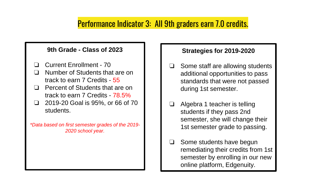#### Performance Indicator 3: All 9th graders earn 7.0 credits.

#### **9th Grade - Class of 2023**

- ❏ Current Enrollment 70
- ❏ Number of Students that are on track to earn 7 Credits - 55
- ❏ Percent of Students that are on track to earn 7 Credits - 78.5%
- ❏ 2019-20 Goal is 95%, or 66 of 70 students.

*\*Data based on first semester grades of the 2019- 2020 school year.*

#### **Strategies for 2019-2020**

- ❏ Some staff are allowing students additional opportunities to pass standards that were not passed during 1st semester.
- ❏ Algebra 1 teacher is telling students if they pass 2nd semester, she will change their 1st semester grade to passing.
- ❏ Some students have begun remediating their credits from 1st semester by enrolling in our new online platform, Edgenuity.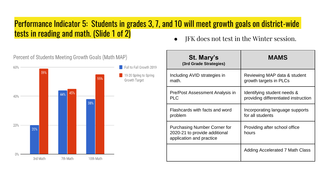#### Performance Indicator 5: Students in grades 3, 7, and 10 will meet growth goals on district-wide tests in reading and math. (Slide 1 of 2)



● JFK does not test in the Winter session.

| St. Mary's<br>(3rd Grade Strategies)                                                      | <b>MAMS</b>                            |
|-------------------------------------------------------------------------------------------|----------------------------------------|
| Including AVID strategies in                                                              | Reviewing MAP data & student           |
| math.                                                                                     | growth targets in PLCs                 |
| Pre/Post Assessment Analysis in                                                           | Identifying student needs &            |
| <b>PLC</b>                                                                                | providing differentiated instruction   |
| Flashcards with facts and word                                                            | Incorporating language supports        |
| problem                                                                                   | for all students                       |
| Purchasing Number Corner for<br>2020-21 to provide additional<br>application and practice | Providing after school office<br>hours |
|                                                                                           | Adding Accelerated 7 Math Class        |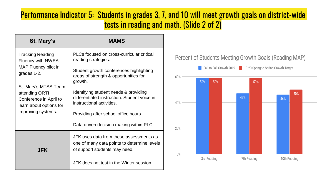#### Performance Indicator 5: Students in grades 3, 7, and 10 will meet growth goals on district-wide tests in reading and math. (Slide 2 of 2)

| St. Mary's                                                                                                                                                                                               | <b>MAMS</b>                                                                                                             |
|----------------------------------------------------------------------------------------------------------------------------------------------------------------------------------------------------------|-------------------------------------------------------------------------------------------------------------------------|
| <b>Tracking Reading</b><br>Fluency with NWEA<br>MAP Fluency pilot in<br>grades 1-2.<br>St. Mary's MTSS Team<br>attending ORTI<br>Conference in April to<br>learn about options for<br>improving systems. | PLCs focused on cross-curricular critical<br>reading strategies.                                                        |
|                                                                                                                                                                                                          | Student growth conferences highlighting<br>areas of strength & opportunities for<br>growth.                             |
|                                                                                                                                                                                                          | Identifying student needs & providing<br>differentiated instruction. Student voice in<br>instructional activities.      |
|                                                                                                                                                                                                          | Providing after school office hours.                                                                                    |
|                                                                                                                                                                                                          | Data driven decision making within PLC                                                                                  |
| JFK                                                                                                                                                                                                      | JFK uses data from these assessments as<br>one of many data points to determine levels<br>of support students may need. |
|                                                                                                                                                                                                          | JFK does not test in the Winter session.                                                                                |

#### Percent of Students Meeting Growth Goals (Reading MAP)

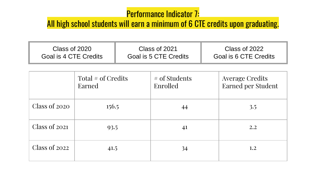## Performance Indicator 7:

## All high school students will earn a minimum of 6 CTE credits upon graduating.

| Class of 2020         | Class of 2021         | Class of 2022         |
|-----------------------|-----------------------|-----------------------|
| Goal is 4 CTE Credits | Goal is 5 CTE Credits | Goal is 6 CTE Credits |
|                       |                       |                       |

|                 | Total $#$ of Credits<br>Earned | $#$ of Students<br>Enrolled | <b>Average Credits</b><br>Earned per Student |
|-----------------|--------------------------------|-----------------------------|----------------------------------------------|
| Class of $2020$ | 156.5                          | 44                          | 3.5                                          |
| Class of 2021   | 93.5                           | 41                          | 2.2                                          |
| Class of 2022   | 41.5                           | 34                          | 1,2                                          |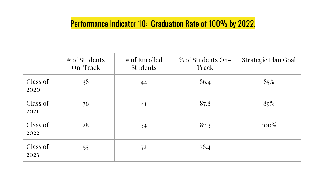## Performance Indicator 10: Graduation Rate of 100% by 2022.

|                  | # of Students<br>On-Track | # of Enrolled<br><b>Students</b> | % of Students On-<br>Track | Strategic Plan Goal |
|------------------|---------------------------|----------------------------------|----------------------------|---------------------|
| Class of<br>2020 | 38                        | 44                               | 86.4                       | 85%                 |
| Class of<br>2021 | 36                        | 41                               | 87.8                       | 80%                 |
| Class of<br>2022 | 28                        | 34                               | 82.3                       | $100\%$             |
| Class of<br>2023 | 55                        | 72                               | 76.4                       |                     |